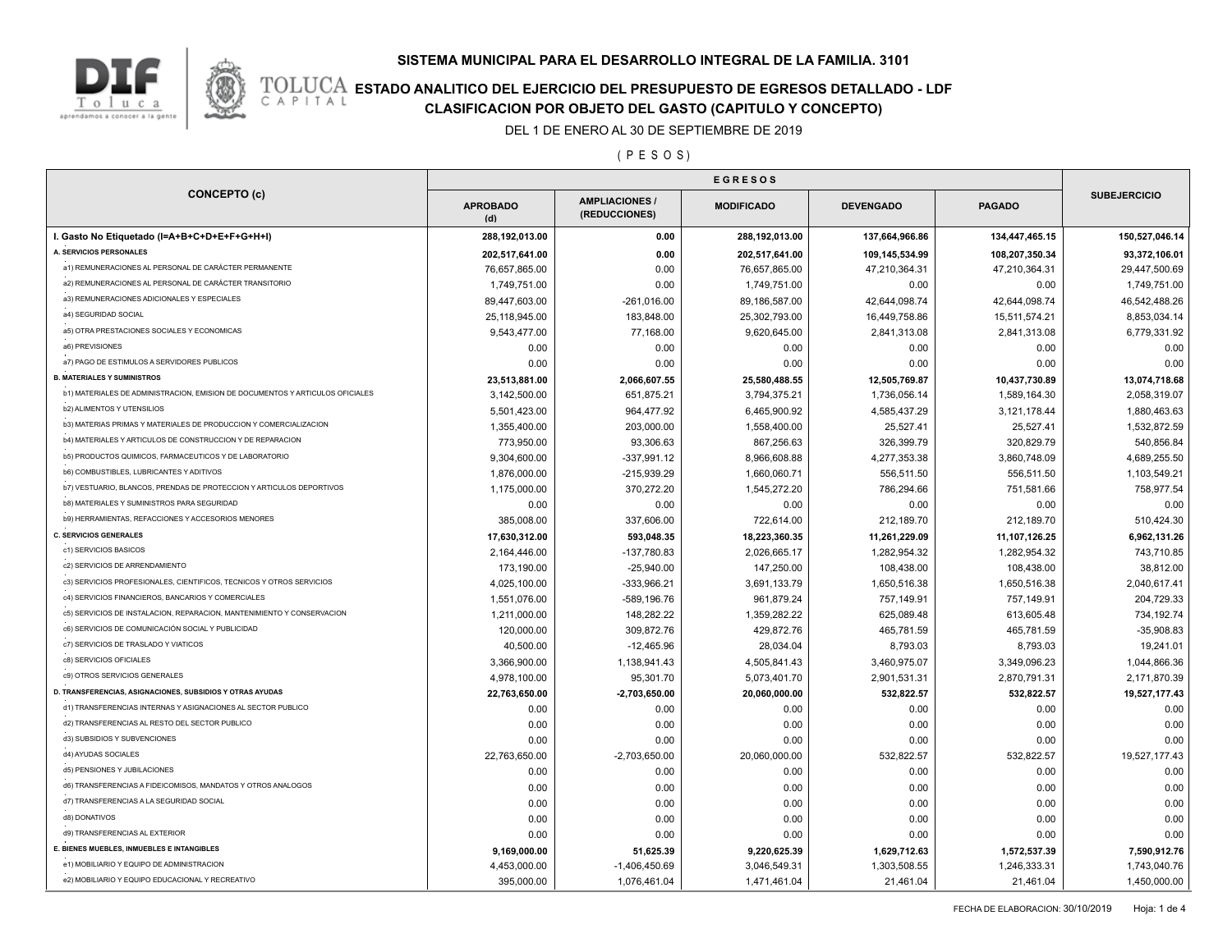



# **TOLUCA ESTADO ANALITICO DEL EJERCICIO DEL PRESUPUESTO DE EGRESOS DETALLADO - LDF**<br>CAPITAL CIASIFICACION POR OBJETO DEL GASTO (CAPITULO Y CONCEPTO) **CLASIFICACION POR OBJETO DEL GASTO (CAPITULO Y CONCEPTO)**

DEL 1 DE ENERO AL 30 DE SEPTIEMBRE DE 2019

( P E S O S )

| <b>CONCEPTO (c)</b>                                                           | <b>APROBADO</b><br>(d) | <b>AMPLIACIONES/</b><br>(REDUCCIONES) | <b>MODIFICADO</b> | <b>DEVENGADO</b> | <b>PAGADO</b>  | <b>SUBEJERCICIO</b> |
|-------------------------------------------------------------------------------|------------------------|---------------------------------------|-------------------|------------------|----------------|---------------------|
| I. Gasto No Etiquetado (I=A+B+C+D+E+F+G+H+I)                                  | 288,192,013.00         | 0.00                                  | 288,192,013.00    | 137,664,966.86   | 134,447,465.15 | 150,527,046.14      |
| A. SERVICIOS PERSONALES                                                       | 202,517,641.00         | 0.00                                  | 202,517,641.00    | 109,145,534.99   | 108,207,350.34 | 93,372,106.01       |
| a1) REMUNERACIONES AL PERSONAL DE CARÁCTER PERMANENTE                         | 76,657,865.00          | 0.00                                  | 76,657,865.00     | 47,210,364.31    | 47,210,364.31  | 29,447,500.69       |
| a2) REMUNERACIONES AL PERSONAL DE CARÁCTER TRANSITORIO                        | 1,749,751.00           | 0.00                                  | 1,749,751.00      | 0.00             | 0.00           | 1,749,751.00        |
| a3) REMUNERACIONES ADICIONALES Y ESPECIALES                                   | 89,447,603.00          | $-261,016.00$                         | 89,186,587.00     | 42,644,098.74    | 42,644,098.74  | 46,542,488.26       |
| a4) SEGURIDAD SOCIAL                                                          | 25,118,945.00          | 183,848.00                            | 25,302,793.00     | 16,449,758.86    | 15,511,574.21  | 8,853,034.14        |
| a5) OTRA PRESTACIONES SOCIALES Y ECONOMICAS                                   | 9,543,477.00           | 77,168.00                             | 9,620,645.00      | 2,841,313.08     | 2,841,313.08   | 6,779,331.92        |
| a6) PREVISIONES                                                               | 0.00                   | 0.00                                  | 0.00              | 0.00             | 0.00           | 0.00                |
| a7) PAGO DE ESTIMULOS A SERVIDORES PUBLICOS                                   | 0.00                   | 0.00                                  | 0.00              | 0.00             | 0.00           | 0.00                |
| <b>B. MATERIALES Y SUMINISTROS</b>                                            | 23,513,881.00          | 2,066,607.55                          | 25,580,488.55     | 12,505,769.87    | 10,437,730.89  | 13,074,718.68       |
| b1) MATERIALES DE ADMINISTRACION, EMISION DE DOCUMENTOS Y ARTICULOS OFICIALES | 3,142,500.00           | 651,875.21                            | 3,794,375.21      | 1,736,056.14     | 1,589,164.30   | 2,058,319.07        |
| <b>b2) ALIMENTOS Y UTENSILIOS</b>                                             | 5,501,423.00           | 964,477.92                            | 6,465,900.92      | 4,585,437.29     | 3,121,178.44   | 1,880,463.63        |
| b3) MATERIAS PRIMAS Y MATERIALES DE PRODUCCION Y COMERCIALIZACION             | 1,355,400.00           | 203,000.00                            | 1,558,400.00      | 25,527.41        | 25,527.41      | 1,532,872.59        |
| b4) MATERIALES Y ARTICULOS DE CONSTRUCCION Y DE REPARACION                    | 773,950.00             | 93,306.63                             | 867,256.63        | 326,399.79       | 320,829.79     | 540,856.84          |
| b5) PRODUCTOS QUIMICOS, FARMACEUTICOS Y DE LABORATORIO                        | 9,304,600.00           | $-337,991.12$                         | 8,966,608.88      | 4,277,353.38     | 3,860,748.09   | 4,689,255.50        |
| b6) COMBUSTIBLES, LUBRICANTES Y ADITIVOS                                      | 1,876,000.00           | $-215,939.29$                         | 1,660,060.71      | 556,511.50       | 556,511.50     | 1,103,549.21        |
| b7) VESTUARIO, BLANCOS, PRENDAS DE PROTECCION Y ARTICULOS DEPORTIVOS          | 1,175,000.00           | 370,272.20                            | 1,545,272.20      | 786,294.66       | 751,581.66     | 758,977.54          |
| b8) MATERIALES Y SUMINISTROS PARA SEGURIDAD                                   | 0.00                   | 0.00                                  | 0.00              | 0.00             | 0.00           | 0.00                |
| b9) HERRAMIENTAS, REFACCIONES Y ACCESORIOS MENORES                            | 385,008.00             | 337,606.00                            | 722,614.00        | 212,189.70       | 212,189.70     | 510,424.30          |
| <b>C. SERVICIOS GENERALES</b>                                                 | 17,630,312.00          | 593,048.35                            | 18,223,360.35     | 11,261,229.09    | 11,107,126.25  | 6,962,131.26        |
| c1) SERVICIOS BASICOS                                                         | 2,164,446.00           | -137,780.83                           | 2,026,665.17      | 1,282,954.32     | 1,282,954.32   | 743,710.85          |
| c2) SERVICIOS DE ARRENDAMIENTO                                                | 173,190.00             | $-25,940.00$                          | 147,250.00        | 108,438.00       | 108,438.00     | 38,812.00           |
| c3) SERVICIOS PROFESIONALES, CIENTIFICOS, TECNICOS Y OTROS SERVICIOS          | 4,025,100.00           | -333,966.21                           | 3,691,133.79      | 1,650,516.38     | 1,650,516.38   | 2,040,617.41        |
| c4) SERVICIOS FINANCIEROS, BANCARIOS Y COMERCIALES                            | 1,551,076.00           | -589,196.76                           | 961,879.24        | 757,149.91       | 757,149.91     | 204,729.33          |
| c5) SERVICIOS DE INSTALACION, REPARACION, MANTENIMIENTO Y CONSERVACION        | 1,211,000.00           | 148,282.22                            | 1,359,282.22      | 625,089.48       | 613,605.48     | 734,192.74          |
| c6) SERVICIOS DE COMUNICACIÓN SOCIAL Y PUBLICIDAD                             | 120,000.00             | 309,872.76                            | 429,872.76        | 465,781.59       | 465,781.59     | $-35,908.83$        |
| c7) SERVICIOS DE TRASLADO Y VIATICOS                                          | 40,500.00              | $-12,465.96$                          | 28,034.04         | 8,793.03         | 8,793.03       | 19,241.01           |
| c8) SERVICIOS OFICIALES                                                       | 3,366,900.00           | 1,138,941.43                          | 4,505,841.43      | 3,460,975.07     | 3,349,096.23   | 1,044,866.36        |
| c9) OTROS SERVICIOS GENERALES                                                 | 4,978,100.00           | 95,301.70                             | 5,073,401.70      | 2,901,531.31     | 2,870,791.31   | 2,171,870.39        |
| D. TRANSFERENCIAS, ASIGNACIONES, SUBSIDIOS Y OTRAS AYUDAS                     | 22,763,650.00          | $-2,703,650.00$                       | 20,060,000.00     | 532,822.57       | 532,822.57     | 19,527,177.43       |
| d1) TRANSFERENCIAS INTERNAS Y ASIGNACIONES AL SECTOR PUBLICO                  | 0.00                   | 0.00                                  | 0.00              | 0.00             | 0.00           | 0.00                |
| d2) TRANSFERENCIAS AL RESTO DEL SECTOR PUBLICO                                | 0.00                   | 0.00                                  | 0.00              | 0.00             | 0.00           | 0.00                |
| d3) SUBSIDIOS Y SUBVENCIONES                                                  | 0.00                   | 0.00                                  | 0.00              | 0.00             | 0.00           | 0.00                |
| d4) AYUDAS SOCIALES                                                           | 22,763,650.00          | $-2,703,650.00$                       | 20,060,000.00     | 532,822.57       | 532,822.57     | 19,527,177.43       |
| d5) PENSIONES Y JUBILACIONES                                                  | 0.00                   | 0.00                                  | 0.00              | 0.00             | 0.00           | 0.00                |
| d6) TRANSFERENCIAS A FIDEICOMISOS, MANDATOS Y OTROS ANALOGOS                  | 0.00                   | 0.00                                  | 0.00              | 0.00             | 0.00           | 0.00                |
| d7) TRANSFERENCIAS A LA SEGURIDAD SOCIAL                                      | 0.00                   | 0.00                                  | 0.00              | 0.00             | 0.00           | 0.00                |
| d8) DONATIVOS                                                                 | 0.00                   | 0.00                                  | 0.00              | 0.00             | 0.00           | 0.00                |
| d9) TRANSFERENCIAS AL EXTERIOR                                                | 0.00                   | 0.00                                  | 0.00              | 0.00             | 0.00           | 0.00                |
| E. BIENES MUEBLES, INMUEBLES E INTANGIBLES                                    | 9,169,000.00           | 51,625.39                             | 9,220,625.39      | 1,629,712.63     | 1,572,537.39   | 7,590,912.76        |
| e1) MOBILIARIO Y EQUIPO DE ADMINISTRACION                                     | 4,453,000.00           | $-1,406,450.69$                       | 3,046,549.31      | 1,303,508.55     | 1,246,333.31   | 1,743,040.76        |
|                                                                               |                        |                                       |                   |                  |                |                     |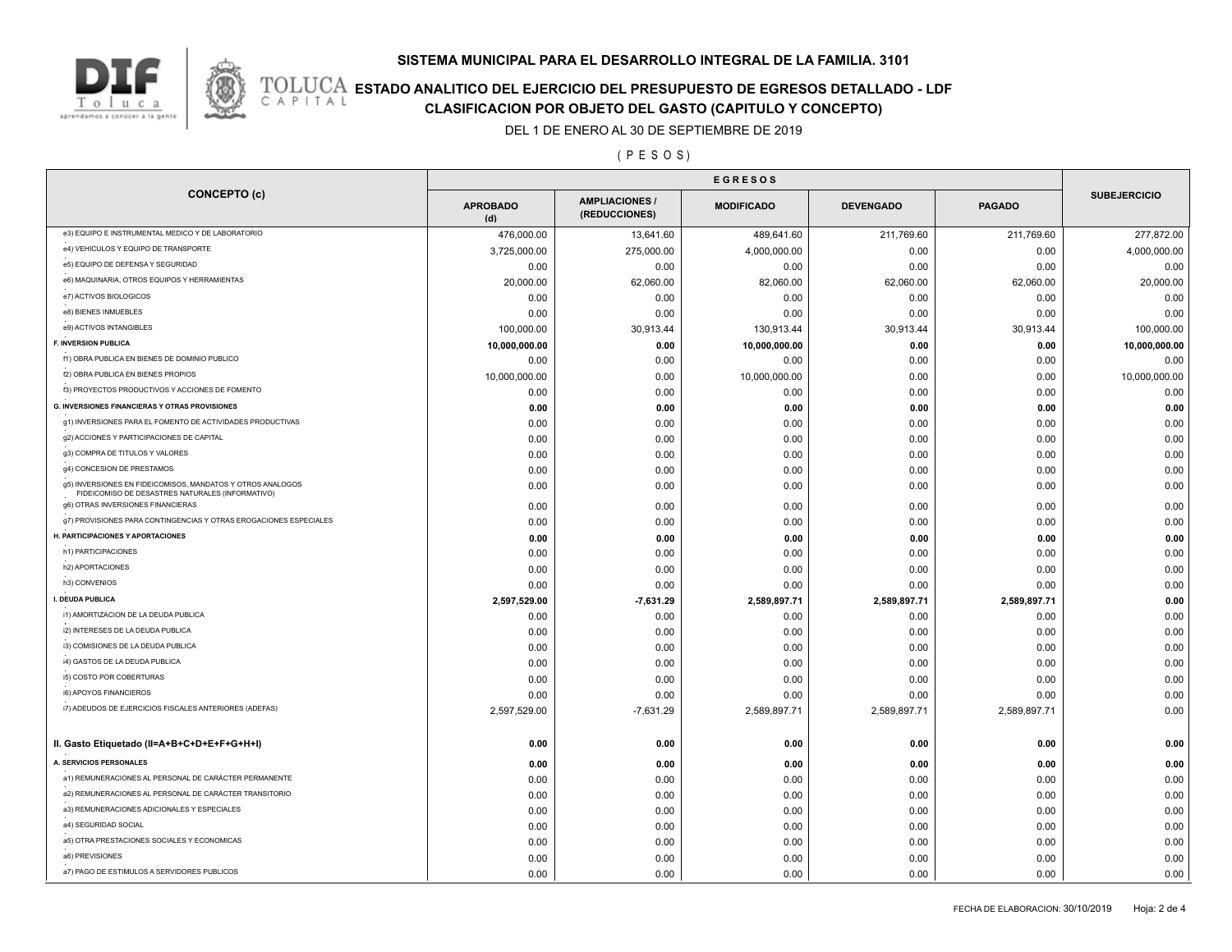### **SISTEMA MUNICIPAL PARA EL DESARROLLO INTEGRAL DE LA FAMILIA. 3101**



# **TOLUCA ESTADO ANALITICO DEL EJERCICIO DEL PRESUPUESTO DE EGRESOS DETALLADO - LDF**<br>CAPITAL CIASIFICACION POR OBJETO DEL GASTO (CAPITULO Y CONCEPTO) **CLASIFICACION POR OBJETO DEL GASTO (CAPITULO Y CONCEPTO)**

DEL 1 DE ENERO AL 30 DE SEPTIEMBRE DE 2019

( P E S O S )

| <b>CONCEPTO (c)</b>                                                                                            | <b>APROBADO</b><br>(d) | <b>AMPLIACIONES</b><br>(REDUCCIONES) | <b>MODIFICADO</b> | <b>DEVENGADO</b> | <b>PAGADO</b> | <b>SUBEJERCICIO</b> |
|----------------------------------------------------------------------------------------------------------------|------------------------|--------------------------------------|-------------------|------------------|---------------|---------------------|
| e3) EQUIPO E INSTRUMENTAL MEDICO Y DE LABORATORIO                                                              | 476,000.00             | 13,641.60                            | 489,641.60        | 211,769.60       | 211,769.60    | 277,872.00          |
| e4) VEHICULOS Y EQUIPO DE TRANSPORTE                                                                           | 3,725,000.00           | 275,000.00                           | 4,000,000.00      | 0.00             | 0.00          | 4,000,000.00        |
| e5) EQUIPO DE DEFENSA Y SEGURIDAD                                                                              | 0.00                   | 0.00                                 | 0.00              | 0.00             | 0.00          | 0.00                |
| e6) MAQUINARIA, OTROS EQUIPOS Y HERRAMIENTAS                                                                   | 20,000.00              | 62,060.00                            | 82,060.00         | 62,060.00        | 62,060.00     | 20,000.00           |
| e7) ACTIVOS BIOLOGICOS                                                                                         | 0.00                   | 0.00                                 | 0.00              | 0.00             | 0.00          | 0.00                |
| e8) BIENES INMUEBLES                                                                                           | 0.00                   | 0.00                                 | 0.00              | 0.00             | 0.00          | 0.00                |
| e9) ACTIVOS INTANGIBLES                                                                                        | 100,000.00             | 30,913.44                            | 130,913.44        | 30,913.44        | 30,913.44     | 100,000.00          |
| F. INVERSION PUBLICA                                                                                           | 10,000,000.00          | 0.00                                 | 10,000,000.00     | 0.00             | 0.00          | 10,000,000.00       |
| f1) OBRA PUBLICA EN BIENES DE DOMINIO PUBLICO                                                                  | 0.00                   | 0.00                                 | 0.00              | 0.00             | 0.00          | 0.00                |
| f2) OBRA PUBLICA EN BIENES PROPIOS                                                                             | 10,000,000.00          | 0.00                                 | 10,000,000.00     | 0.00             | 0.00          | 10,000,000.00       |
| f3) PROYECTOS PRODUCTIVOS Y ACCIONES DE FOMENTO                                                                | 0.00                   | 0.00                                 | 0.00              | 0.00             | 0.00          | 0.00                |
| <b>G. INVERSIONES FINANCIERAS Y OTRAS PROVISIONES</b>                                                          | 0.00                   | 0.00                                 | 0.00              | 0.00             | 0.00          | 0.00                |
| g1) INVERSIONES PARA EL FOMENTO DE ACTIVIDADES PRODUCTIVAS                                                     | 0.00                   | 0.00                                 | 0.00              | 0.00             | 0.00          | 0.00                |
| g2) ACCIONES Y PARTICIPACIONES DE CAPITAL                                                                      | 0.00                   | 0.00                                 | 0.00              | 0.00             | 0.00          | 0.00                |
| g3) COMPRA DE TITULOS Y VALORES                                                                                | 0.00                   | 0.00                                 | 0.00              | 0.00             | 0.00          | 0.00                |
| g4) CONCESION DE PRESTAMOS                                                                                     | 0.00                   | 0.00                                 | 0.00              | 0.00             | 0.00          | 0.00                |
| g5) INVERSIONES EN FIDEICOMISOS, MANDATOS Y OTROS ANALOGOS<br>FIDEICOMISO DE DESASTRES NATURALES (INFORMATIVO) | 0.00                   | 0.00                                 | 0.00              | 0.00             | 0.00          | 0.00                |
| g6) OTRAS INVERSIONES FINANCIERAS                                                                              | 0.00                   | 0.00                                 | 0.00              | 0.00             | 0.00          | 0.00                |
| g7) PROVISIONES PARA CONTINGENCIAS Y OTRAS EROGACIONES ESPECIALES                                              | 0.00                   | 0.00                                 | 0.00              | 0.00             | 0.00          | 0.00                |
| H. PARTICIPACIONES Y APORTACIONES                                                                              | 0.00                   | 0.00                                 | 0.00              | 0.00             | 0.00          | 0.00                |
| h1) PARTICIPACIONES                                                                                            | 0.00                   | 0.00                                 | 0.00              | 0.00             | 0.00          | 0.00                |
| h2) APORTACIONES                                                                                               | 0.00                   | 0.00                                 | 0.00              | 0.00             | 0.00          | 0.00                |
| h3) CONVENIOS                                                                                                  | 0.00                   | 0.00                                 | 0.00              | 0.00             | 0.00          | 0.00                |
| I. DEUDA PUBLICA                                                                                               | 2,597,529.00           | $-7,631.29$                          | 2,589,897.71      | 2,589,897.71     | 2,589,897.71  | 0.00                |
| i1) AMORTIZACION DE LA DEUDA PUBLICA                                                                           | 0.00                   | 0.00                                 | 0.00              | 0.00             | 0.00          | 0.00                |
| i2) INTERESES DE LA DEUDA PUBLICA                                                                              | 0.00                   | 0.00                                 | 0.00              | 0.00             | 0.00          | 0.00                |
| i3) COMISIONES DE LA DEUDA PUBLICA                                                                             | 0.00                   | 0.00                                 | 0.00              | 0.00             | 0.00          | 0.00                |
| i4) GASTOS DE LA DEUDA PUBLICA                                                                                 | 0.00                   | 0.00                                 | 0.00              | 0.00             | 0.00          | 0.00                |
| i5) COSTO POR COBERTURAS                                                                                       | 0.00                   | 0.00                                 | 0.00              | 0.00             | 0.00          | 0.00                |
| i6) APOYOS FINANCIEROS                                                                                         | 0.00                   | 0.00                                 | 0.00              | 0.00             | 0.00          | 0.00                |
| i7) ADEUDOS DE EJERCICIOS FISCALES ANTERIORES (ADEFAS)                                                         | 2,597,529.00           | $-7,631.29$                          | 2,589,897.71      | 2,589,897.71     | 2,589,897.71  | 0.00                |
| II. Gasto Etiquetado (II=A+B+C+D+E+F+G+H+I)                                                                    | 0.00                   | 0.00                                 | 0.00              | 0.00             | 0.00          | 0.00                |
| A. SERVICIOS PERSONALES                                                                                        | 0.00                   | 0.00                                 | 0.00              | 0.00             | 0.00          | 0.00                |
| a1) REMUNERACIONES AL PERSONAL DE CARÁCTER PERMANENTE                                                          | 0.00                   | 0.00                                 | 0.00              | 0.00             | 0.00          | 0.00                |
| a2) REMUNERACIONES AL PERSONAL DE CARÁCTER TRANSITORIO                                                         | 0.00                   | 0.00                                 | 0.00              | 0.00             | 0.00          | 0.00                |
| a3) REMUNERACIONES ADICIONALES Y ESPECIALES                                                                    | 0.00                   | 0.00                                 | 0.00              | 0.00             | 0.00          | 0.00                |
| a4) SEGURIDAD SOCIAL                                                                                           | 0.00                   | 0.00                                 | 0.00              | 0.00             | 0.00          | 0.00                |
| a5) OTRA PRESTACIONES SOCIALES Y ECONOMICAS                                                                    | 0.00                   | 0.00                                 | 0.00              | 0.00             | 0.00          | 0.00                |
| a6) PREVISIONES                                                                                                | 0.00                   | 0.00                                 | 0.00              | 0.00             | 0.00          | 0.00                |
| a7) PAGO DE ESTIMULOS A SERVIDORES PUBLICOS                                                                    | 0.00                   | 0.00                                 | 0.00              | 0.00             | 0.00          | 0.00                |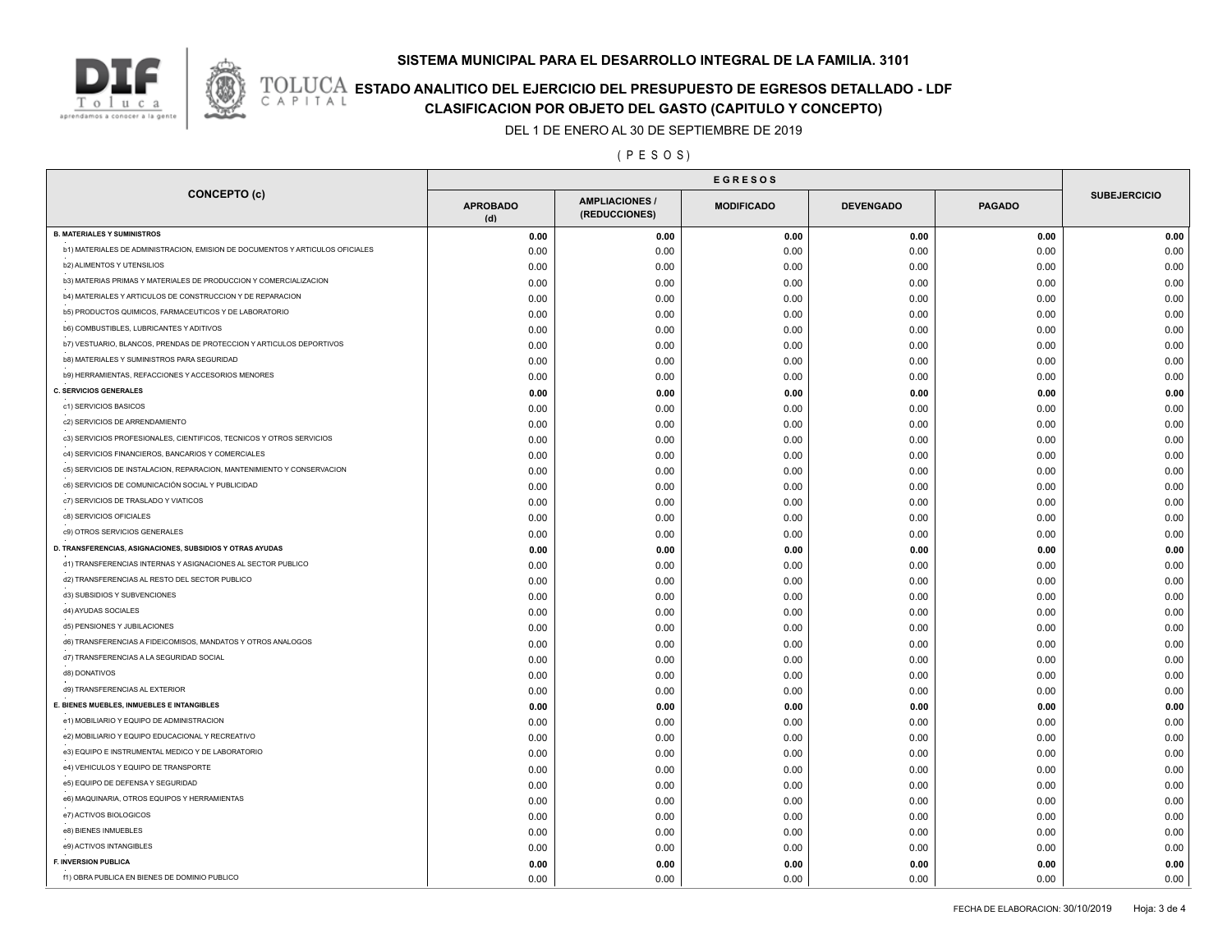### **SISTEMA MUNICIPAL PARA EL DESARROLLO INTEGRAL DE LA FAMILIA. 3101**



# **TOLUCA ESTADO ANALITICO DEL EJERCICIO DEL PRESUPUESTO DE EGRESOS DETALLADO - LDF**<br>CAPITAL CIASIFICACION POR OBJETO DEL GASTO (CAPITULO Y CONCEPTO) **CLASIFICACION POR OBJETO DEL GASTO (CAPITULO Y CONCEPTO)**

DEL 1 DE ENERO AL 30 DE SEPTIEMBRE DE 2019

( P E S O S )

| <b>CONCEPTO (c)</b>                                                           | <b>APROBADO</b><br>(d) | <b>AMPLIACIONES</b><br>(REDUCCIONES) | <b>MODIFICADO</b> | <b>DEVENGADO</b> | <b>PAGADO</b> | <b>SUBEJERCICIO</b> |
|-------------------------------------------------------------------------------|------------------------|--------------------------------------|-------------------|------------------|---------------|---------------------|
| <b>B. MATERIALES Y SUMINISTROS</b>                                            | 0.00                   | 0.00                                 | 0.00              | 0.00             | 0.00          | 0.00                |
| b1) MATERIALES DE ADMINISTRACION, EMISION DE DOCUMENTOS Y ARTICULOS OFICIALES | 0.00                   | 0.00                                 | 0.00              | 0.00             | 0.00          | 0.00                |
| <b>b2) ALIMENTOS Y UTENSILIOS</b>                                             | 0.00                   | 0.00                                 | 0.00              | 0.00             | 0.00          | 0.00                |
| b3) MATERIAS PRIMAS Y MATERIALES DE PRODUCCION Y COMERCIALIZACION             | 0.00                   | 0.00                                 | 0.00              | 0.00             | 0.00          | 0.00                |
| b4) MATERIALES Y ARTICULOS DE CONSTRUCCION Y DE REPARACION                    | 0.00                   | 0.00                                 | 0.00              | 0.00             | 0.00          | 0.00                |
| b5) PRODUCTOS QUIMICOS, FARMACEUTICOS Y DE LABORATORIO                        | 0.00                   | 0.00                                 | 0.00              | 0.00             | 0.00          | 0.00                |
| <b>b6) COMBUSTIBLES, LUBRICANTES Y ADITIVOS</b>                               | 0.00                   | 0.00                                 | 0.00              | 0.00             | 0.00          | 0.00                |
| b7) VESTUARIO, BLANCOS, PRENDAS DE PROTECCION Y ARTICULOS DEPORTIVOS          | 0.00                   | 0.00                                 | 0.00              | 0.00             | 0.00          | 0.00                |
| b8) MATERIALES Y SUMINISTROS PARA SEGURIDAD                                   | 0.00                   | 0.00                                 | 0.00              | 0.00             | 0.00          | 0.00                |
| b9) HERRAMIENTAS, REFACCIONES Y ACCESORIOS MENORES                            | 0.00                   | 0.00                                 | 0.00              | 0.00             | 0.00          | 0.00                |
| <b>C. SERVICIOS GENERALES</b>                                                 | 0.00                   | 0.00                                 | 0.00              | 0.00             | 0.00          | 0.00                |
| c1) SERVICIOS BASICOS                                                         | 0.00                   | 0.00                                 | 0.00              | 0.00             | 0.00          | 0.00                |
| c2) SERVICIOS DE ARRENDAMIENTO                                                | 0.00                   | 0.00                                 | 0.00              | 0.00             | 0.00          | 0.00                |
| c3) SERVICIOS PROFESIONALES, CIENTIFICOS, TECNICOS Y OTROS SERVICIOS          | 0.00                   | 0.00                                 | 0.00              | 0.00             | 0.00          | 0.00                |
| c4) SERVICIOS FINANCIEROS, BANCARIOS Y COMERCIALES                            | 0.00                   | 0.00                                 | 0.00              | 0.00             | 0.00          | 0.00                |
| c5) SERVICIOS DE INSTALACION, REPARACION, MANTENIMIENTO Y CONSERVACION        | 0.00                   | 0.00                                 | 0.00              | 0.00             | 0.00          | 0.00                |
| c6) SERVICIOS DE COMUNICACIÓN SOCIAL Y PUBLICIDAD                             | 0.00                   | 0.00                                 | 0.00              | 0.00             | 0.00          | 0.00                |
| c7) SERVICIOS DE TRASLADO Y VIATICOS                                          | 0.00                   | 0.00                                 | 0.00              | 0.00             | 0.00          | 0.00                |
| c8) SERVICIOS OFICIALES                                                       | 0.00                   | 0.00                                 | 0.00              | 0.00             | 0.00          | 0.00                |
| c9) OTROS SERVICIOS GENERALES                                                 | 0.00                   | 0.00                                 | 0.00              | 0.00             | 0.00          | 0.00                |
| D. TRANSFERENCIAS, ASIGNACIONES, SUBSIDIOS Y OTRAS AYUDAS                     | 0.00                   | 0.00                                 | 0.00              | 0.00             | 0.00          | 0.00                |
| d1) TRANSFERENCIAS INTERNAS Y ASIGNACIONES AL SECTOR PUBLICO                  | 0.00                   | 0.00                                 | 0.00              | 0.00             | 0.00          | 0.00                |
| d2) TRANSFERENCIAS AL RESTO DEL SECTOR PUBLICO                                | 0.00                   |                                      |                   | 0.00             |               | 0.00                |
| d3) SUBSIDIOS Y SUBVENCIONES                                                  |                        | 0.00                                 | 0.00              |                  | 0.00<br>0.00  | 0.00                |
| d4) AYUDAS SOCIALES                                                           | 0.00<br>0.00           | 0.00<br>0.00                         | 0.00              | 0.00<br>0.00     | 0.00          | 0.00                |
| d5) PENSIONES Y JUBILACIONES                                                  |                        |                                      | 0.00              |                  |               |                     |
| d6) TRANSFERENCIAS A FIDEICOMISOS, MANDATOS Y OTROS ANALOGOS                  | 0.00                   | 0.00                                 | 0.00              | 0.00             | 0.00          | 0.00                |
| d7) TRANSFERENCIAS A LA SEGURIDAD SOCIAL                                      | 0.00                   | 0.00                                 | 0.00              | 0.00             | 0.00          | 0.00                |
| d8) DONATIVOS                                                                 | 0.00                   | 0.00                                 | 0.00              | 0.00             | 0.00          | 0.00                |
| d9) TRANSFERENCIAS AL EXTERIOR                                                | 0.00                   | 0.00                                 | 0.00              | 0.00             | 0.00          | 0.00                |
| E. BIENES MUEBLES, INMUEBLES E INTANGIBLES                                    | 0.00                   | 0.00                                 | 0.00              | 0.00             | 0.00          | 0.00                |
| e1) MOBILIARIO Y EQUIPO DE ADMINISTRACION                                     | 0.00                   | 0.00                                 | 0.00              | 0.00             | 0.00          | 0.00                |
| e2) MOBILIARIO Y EQUIPO EDUCACIONAL Y RECREATIVO                              | 0.00                   | 0.00                                 | 0.00              | 0.00             | 0.00          | 0.00                |
| e3) EQUIPO E INSTRUMENTAL MEDICO Y DE LABORATORIO                             | 0.00                   | 0.00                                 | 0.00              | 0.00             | 0.00          | 0.00                |
|                                                                               | 0.00                   | 0.00                                 | 0.00              | 0.00             | 0.00          | 0.00                |
| e4) VEHICULOS Y EQUIPO DE TRANSPORTE                                          | 0.00                   | 0.00                                 | 0.00              | 0.00             | 0.00          | 0.00                |
| e5) EQUIPO DE DEFENSA Y SEGURIDAD                                             | 0.00                   | 0.00                                 | 0.00              | 0.00             | 0.00          | 0.00                |
| e6) MAQUINARIA, OTROS EQUIPOS Y HERRAMIENTAS                                  | 0.00                   | 0.00                                 | 0.00              | 0.00             | 0.00          | 0.00                |
| e7) ACTIVOS BIOLOGICOS                                                        | 0.00                   | 0.00                                 | 0.00              | 0.00             | 0.00          | 0.00                |
| e8) BIENES INMUEBLES                                                          | 0.00                   | 0.00                                 | 0.00              | 0.00             | 0.00          | 0.00                |
| e9) ACTIVOS INTANGIBLES                                                       | 0.00                   | 0.00                                 | 0.00              | 0.00             | 0.00          | 0.00                |
| <b>F. INVERSION PUBLICA</b>                                                   | 0.00                   | 0.00                                 | 0.00              | 0.00             | 0.00          | 0.00                |
| f1) OBRA PUBLICA EN BIENES DE DOMINIO PUBLICO                                 | 0.00                   | 0.00                                 | 0.00              | 0.00             | 0.00          | 0.00                |